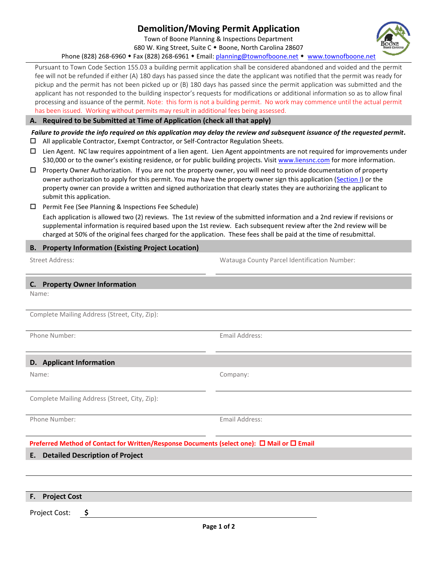# **Demolition/Moving Permit Application**

Town of Boone Planning & Inspections Department 680 W. King Street, Suite C . Boone, North Carolina 28607

Phone (828) 268-6960 • Fax (828) 268-6961 • Email: [planning@townofboone.net](mailto:planning@townofboone.net) • [www.townofboone.net](http://www.townofboone.net/)

Pursuant to Town Code Section 155.03 a building permit application shall be considered abandoned and voided and the permit fee will not be refunded if either (A) 180 days has passed since the date the applicant was notified that the permit was ready for pickup and the permit has not been picked up or (B) 180 days has passed since the permit application was submitted and the applicant has not responded to the building inspector's requests for modifications or additional information so as to allow final processing and issuance of the permit. Note: this form is not a building permit. No work may commence until the actual permit has been issued. Working without permits may result in additional fees being assessed.

## **A. Required to be Submitted at Time of Application (check all that apply)**

*Failure to provide the info required on this application may delay the review and subsequent issuance of the requested permit.* All applicable Contractor, Exempt Contractor, or Self-Contractor Regulation Sheets.

- $\Box$  Lien Agent. NC law requires appointment of a lien agent. Lien Agent appointments are not required for improvements under \$30,000 or to the owner's existing residence, or for public building projects. Visit [www.liensnc.com](http://www.liensnc.com/) for more information.
- $\Box$  Property Owner Authorization. If you are not the property owner, you will need to provide documentation of property owner authorization to apply for this permit. You may have the property owner sign this application [\(Section I\)](#page-1-0) or the property owner can provide a written and signed authorization that clearly states they are authorizing the applicant to submit this application.
- Permit Fee (See Planning & Inspections Fee Schedule)

Each application is allowed two (2) reviews. The 1st review of the submitted information and a 2nd review if revisions or supplemental information is required based upon the 1st review. Each subsequent review after the 2nd review will be charged at 50% of the original fees charged for the application. These fees shall be paid at the time of resubmittal.

# **B. Property Information (Existing Project Location)**

Street Address: Watauga County Parcel Identification Number:

| C. Property Owner Information                                                              |                |  |  |  |
|--------------------------------------------------------------------------------------------|----------------|--|--|--|
| Name:                                                                                      |                |  |  |  |
|                                                                                            |                |  |  |  |
| Complete Mailing Address (Street, City, Zip):                                              |                |  |  |  |
|                                                                                            |                |  |  |  |
| Phone Number:                                                                              | Email Address: |  |  |  |
|                                                                                            |                |  |  |  |
| D. Applicant Information                                                                   |                |  |  |  |
| Name:                                                                                      | Company:       |  |  |  |
|                                                                                            |                |  |  |  |
| Complete Mailing Address (Street, City, Zip):                                              |                |  |  |  |
|                                                                                            |                |  |  |  |
| Phone Number:                                                                              | Email Address: |  |  |  |
|                                                                                            |                |  |  |  |
| Preferred Method of Contact for Written/Response Documents (select one): □ Mail or □ Email |                |  |  |  |
| <b>Detailed Description of Project</b><br>Е.                                               |                |  |  |  |
|                                                                                            |                |  |  |  |
|                                                                                            |                |  |  |  |
| F. Project Cost                                                                            |                |  |  |  |
| \$<br>Project Cost:                                                                        |                |  |  |  |